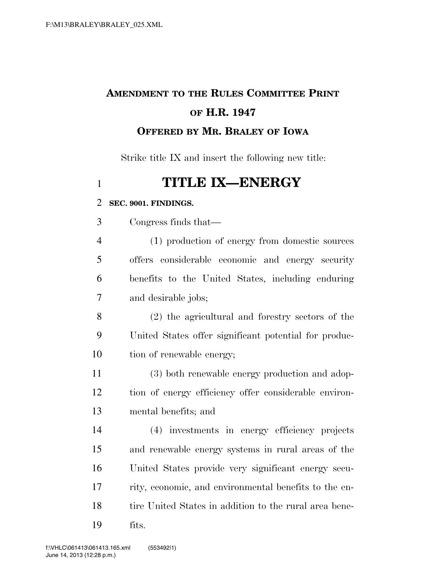# **AMENDMENT TO THE RULES COMMITTEE PRINT OF H.R. 1947 OFFERED BY MR. BRALEY OF IOWA**

Strike title IX and insert the following new title:

# **TITLE IX—ENERGY**

### **SEC. 9001. FINDINGS.**

Congress finds that—

 (1) production of energy from domestic sources offers considerable economic and energy security benefits to the United States, including enduring and desirable jobs;

 (2) the agricultural and forestry sectors of the United States offer significant potential for produc-tion of renewable energy;

 (3) both renewable energy production and adop- tion of energy efficiency offer considerable environ-mental benefits; and

 (4) investments in energy efficiency projects and renewable energy systems in rural areas of the United States provide very significant energy secu- rity, economic, and environmental benefits to the en-18 tire United States in addition to the rural area bene-fits.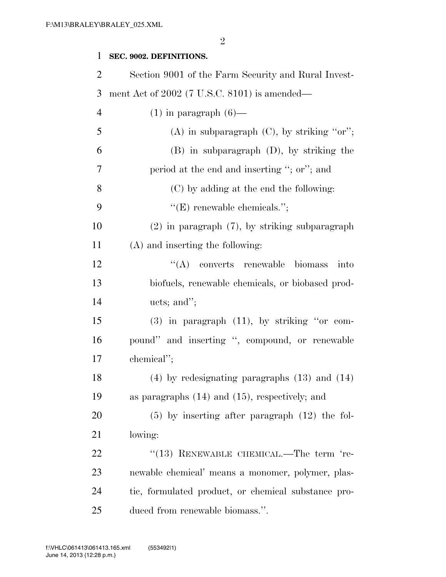## **SEC. 9002. DEFINITIONS.**

| $\overline{2}$ | Section 9001 of the Farm Security and Rural Invest- |
|----------------|-----------------------------------------------------|
| 3              | ment Act of $2002$ (7 U.S.C. 8101) is amended—      |
| $\overline{4}$ | $(1)$ in paragraph $(6)$ —                          |
| 5              | (A) in subparagraph $(C)$ , by striking "or";       |
| 6              | $(B)$ in subparagraph $(D)$ , by striking the       |
| $\tau$         | period at the end and inserting "; or"; and         |
| 8              | (C) by adding at the end the following:             |
| 9              | $"({\rm E})$ renewable chemicals.";                 |
| 10             | $(2)$ in paragraph $(7)$ , by striking subparagraph |
| 11             | (A) and inserting the following:                    |
| 12             | $\lq\lq$ converts renewable<br>biomass<br>into      |
| 13             | biofuels, renewable chemicals, or biobased prod-    |
| 14             | ucts; and";                                         |
| 15             | $(3)$ in paragraph $(11)$ , by striking "or com-    |
| 16             | pound" and inserting ", compound, or renewable      |
| 17             | chemical";                                          |
| 18             | $(4)$ by redesignating paragraphs $(13)$ and $(14)$ |
| 19             | as paragraphs $(14)$ and $(15)$ , respectively; and |
| 20             | $(5)$ by inserting after paragraph $(12)$ the fol-  |
| 21             | lowing:                                             |
| 22             | $(13)$ RENEWABLE CHEMICAL.—The term 're-            |
| 23             | newable chemical' means a monomer, polymer, plas-   |
| 24             | tic, formulated product, or chemical substance pro- |
| 25             | duced from renewable biomass.".                     |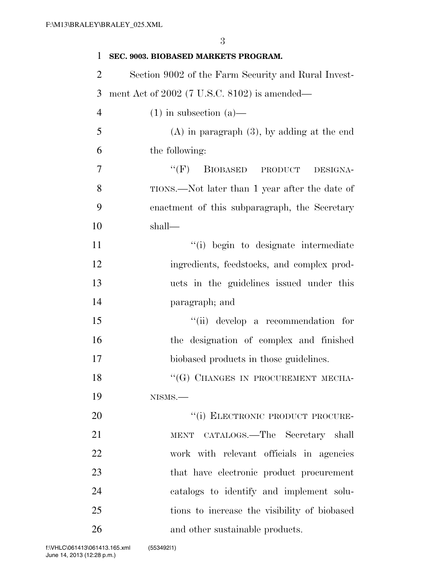| 1              | SEC. 9003. BIOBASED MARKETS PROGRAM.                |
|----------------|-----------------------------------------------------|
| $\overline{2}$ | Section 9002 of the Farm Security and Rural Invest- |
| 3              | ment Act of $2002$ (7 U.S.C. 8102) is amended—      |
| $\overline{4}$ | $(1)$ in subsection $(a)$ —                         |
| 5              | $(A)$ in paragraph $(3)$ , by adding at the end     |
| 6              | the following:                                      |
| 7              | ``(F)<br>BIOBASED PRODUCT DESIGNA-                  |
| 8              | TIONS.—Not later than 1 year after the date of      |
| 9              | enactment of this subparagraph, the Secretary       |
| 10             | shall—                                              |
| 11             | "(i) begin to designate intermediate                |
| 12             | ingredients, feedstocks, and complex prod-          |
| 13             | ucts in the guidelines issued under this            |
| 14             | paragraph; and                                      |
| 15             | "(ii) develop a recommendation for                  |
| 16             | the designation of complex and finished             |
| 17             | biobased products in those guidelines.              |
| 18             | "(G) CHANGES IN PROCUREMENT MECHA-                  |
| 19             | NISMS.                                              |
| 20             | "(i) ELECTRONIC PRODUCT PROCURE-                    |
| 21             | MENT CATALOGS.-The Secretary shall                  |
| 22             | work with relevant officials in agencies            |
| 23             | that have electronic product procurement            |
| 24             | catalogs to identify and implement solu-            |
| 25             | tions to increase the visibility of biobased        |
| 26             | and other sustainable products.                     |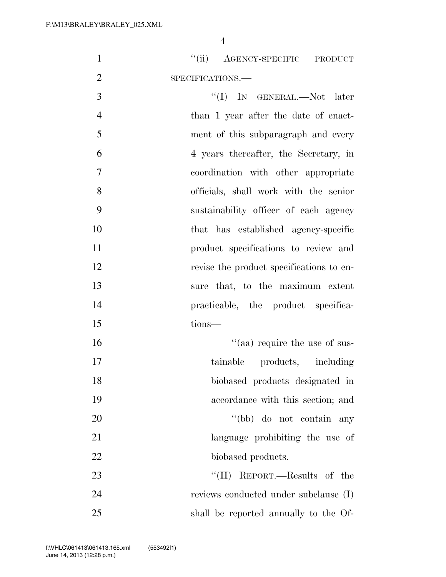| $\mathbf{1}$   | "(ii) AGENCY-SPECIFIC PRODUCT            |
|----------------|------------------------------------------|
| $\overline{2}$ | SPECIFICATIONS.                          |
| 3              | "(I) IN GENERAL.—Not later               |
| $\overline{4}$ | than 1 year after the date of enact-     |
| 5              | ment of this subparagraph and every      |
| 6              | 4 years thereafter, the Secretary, in    |
| 7              | coordination with other appropriate      |
| 8              | officials, shall work with the senior    |
| 9              | sustainability officer of each agency    |
| 10             | that has established agency-specific     |
| 11             | product specifications to review and     |
| 12             | revise the product specifications to en- |
| 13             | sure that, to the maximum extent         |
| 14             | practicable, the product specifica-      |
| 15             | tions-                                   |
| 16             | "(aa) require the use of sus-            |
| 17             | tainable products, including             |
| 18             | biobased products designated in          |
| 19             | accordance with this section; and        |
| 20             | "(bb) do not contain any                 |
| 21             | language prohibiting the use of          |
| 22             | biobased products.                       |
| 23             | "(II) REPORT.—Results of the             |
| 24             | reviews conducted under subclause (I)    |
| 25             | shall be reported annually to the Of-    |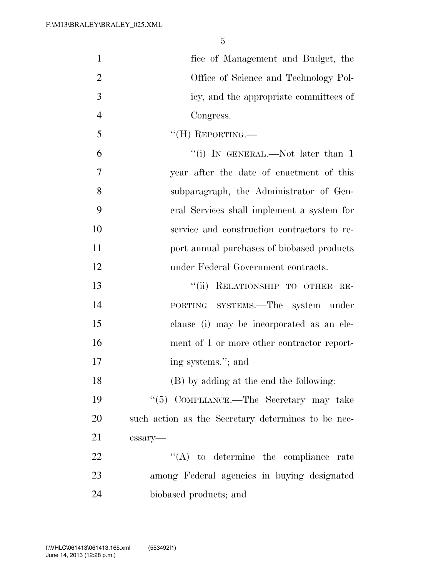| $\mathbf{1}$   | fice of Management and Budget, the                 |
|----------------|----------------------------------------------------|
| $\overline{2}$ | Office of Science and Technology Pol-              |
| 3              | icy, and the appropriate committees of             |
| $\overline{4}$ | Congress.                                          |
| 5              | $``$ (H) REPORTING.—                               |
| 6              | "(i) IN GENERAL.—Not later than $1$                |
| $\overline{7}$ | year after the date of enactment of this           |
| 8              | subparagraph, the Administrator of Gen-            |
| 9              | eral Services shall implement a system for         |
| 10             | service and construction contractors to re-        |
| 11             | port annual purchases of biobased products         |
| 12             | under Federal Government contracts.                |
| 13             | "(ii) RELATIONSHIP TO OTHER RE-                    |
| 14             | PORTING SYSTEMS.—The system under                  |
| 15             | clause (i) may be incorporated as an ele-          |
| 16             | ment of 1 or more other contractor report-         |
| 17             | ing systems."; and                                 |
| 18             | (B) by adding at the end the following:            |
| 19             | "(5) COMPLIANCE.—The Secretary may take            |
| 20             | such action as the Secretary determines to be nec- |
| 21             | essary-                                            |
| 22             | $\lq\lq$ to determine the compliance rate          |
| 23             | among Federal agencies in buying designated        |
| 24             | biobased products; and                             |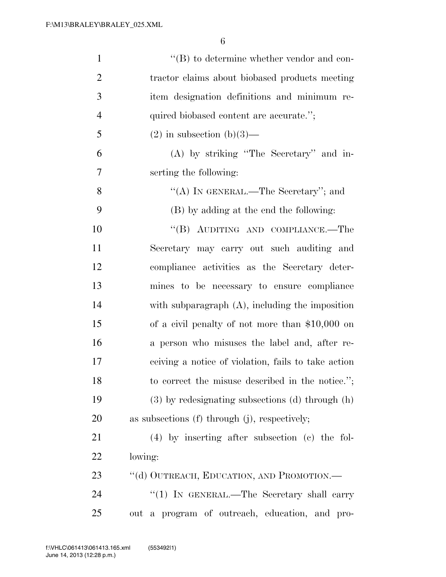| $\mathbf{1}$   | $\lq\lq (B)$ to determine whether vendor and con-   |
|----------------|-----------------------------------------------------|
| $\overline{2}$ | tractor claims about biobased products meeting      |
| 3              | item designation definitions and minimum re-        |
| $\overline{4}$ | quired biobased content are accurate.";             |
| 5              | $(2)$ in subsection $(b)(3)$ —                      |
| 6              | (A) by striking "The Secretary" and in-             |
| 7              | serting the following:                              |
| 8              | "(A) IN GENERAL.—The Secretary"; and                |
| 9              | (B) by adding at the end the following:             |
| 10             | "(B) AUDITING AND COMPLIANCE.—The                   |
| 11             | Secretary may carry out such auditing and           |
| 12             | compliance activities as the Secretary deter-       |
| 13             | mines to be necessary to ensure compliance          |
| 14             | with subparagraph $(A)$ , including the imposition  |
| 15             | of a civil penalty of not more than $$10,000$ on    |
| 16             | a person who misuses the label and, after re-       |
| 17             | ceiving a notice of violation, fails to take action |
| 18             | to correct the misuse described in the notice.";    |
| 19             | (3) by redesignating subsections (d) through (h)    |
| 20             | as subsections $(f)$ through $(j)$ , respectively;  |
| 21             | $(4)$ by inserting after subsection (c) the fol-    |
| 22             | lowing:                                             |
| 23             | "(d) OUTREACH, EDUCATION, AND PROMOTION.—           |
| 24             | " $(1)$ IN GENERAL.—The Secretary shall carry       |
| 25             | out a program of outreach, education, and pro-      |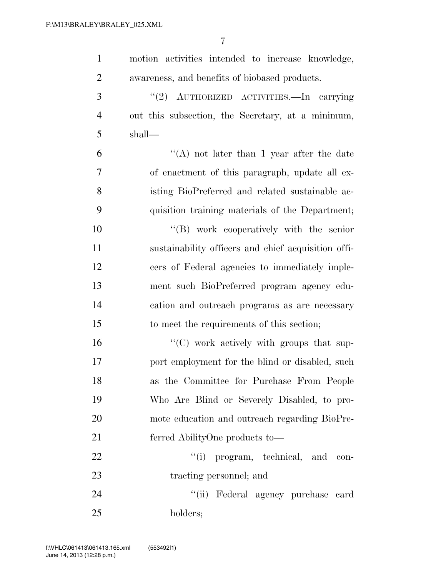| $\mathbf{1}$   | motion activities intended to increase knowledge,   |
|----------------|-----------------------------------------------------|
| $\overline{2}$ | awareness, and benefits of biobased products.       |
| 3              | "(2) AUTHORIZED ACTIVITIES.—In carrying             |
| $\overline{4}$ | out this subsection, the Secretary, at a minimum,   |
| 5              | shall—                                              |
| 6              | "(A) not later than 1 year after the date           |
| $\overline{7}$ | of enactment of this paragraph, update all ex-      |
| 8              | isting BioPreferred and related sustainable ac-     |
| 9              | quisition training materials of the Department;     |
| 10             | "(B) work cooperatively with the senior             |
| 11             | sustainability officers and chief acquisition offi- |
| 12             | cers of Federal agencies to immediately imple-      |
| 13             | ment such BioPreferred program agency edu-          |
| 14             | cation and outreach programs as are necessary       |
| 15             | to meet the requirements of this section;           |
| 16             | $\lq\lq$ (C) work actively with groups that sup-    |
| 17             | port employment for the blind or disabled, such     |
| 18             | as the Committee for Purchase From People           |
| 19             | Who Are Blind or Severely Disabled, to pro-         |
| 20             | mote education and outreach regarding BioPre-       |
| 21             | ferred AbilityOne products to—                      |
| 22             | "(i) program, technical, and<br>con-                |
| 23             | tracting personnel; and                             |
| 24             | "(ii) Federal agency purchase card                  |
| 25             | holders;                                            |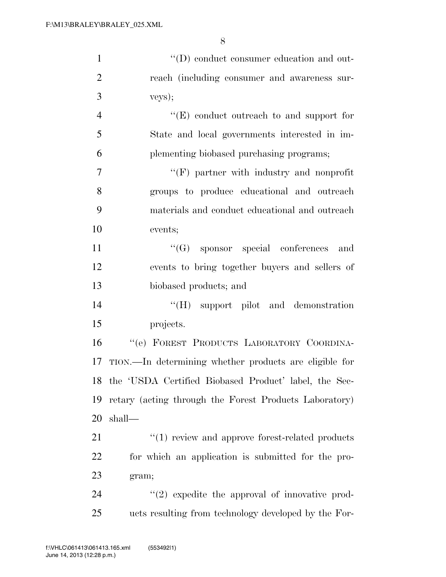| $\mathbf{1}$   | "(D) conduct consumer education and out-                 |
|----------------|----------------------------------------------------------|
| $\overline{2}$ | reach (including consumer and awareness sur-             |
| 3              | veys);                                                   |
| $\overline{4}$ | "(E) conduct outreach to and support for                 |
| 5              | State and local governments interested in im-            |
| 6              | plementing biobased purchasing programs;                 |
| $\overline{7}$ | "(F) partner with industry and nonprofit                 |
| 8              | groups to produce educational and outreach               |
| 9              | materials and conduct educational and outreach           |
| 10             | events;                                                  |
| 11             | $\lq\lq(G)$ sponsor special conferences<br>and           |
| 12             | events to bring together buyers and sellers of           |
| 13             | biobased products; and                                   |
| 14             | "(H) support pilot and demonstration                     |
| 15             | projects.                                                |
| 16             | "(e) FOREST PRODUCTS LABORATORY COORDINA-                |
| 17             | TION.—In determining whether products are eligible for   |
|                | 18 the 'USDA Certified Biobased Product' label, the Sec- |
| 19             | retary (acting through the Forest Products Laboratory)   |
| 20             | shall-                                                   |
| 21             | $\cdot$ (1) review and approve forest-related products   |
| 22             | for which an application is submitted for the pro-       |
| 23             | gram;                                                    |
| 24             | $\lq(2)$ expedite the approval of innovative prod-       |
| 25             | ucts resulting from technology developed by the For-     |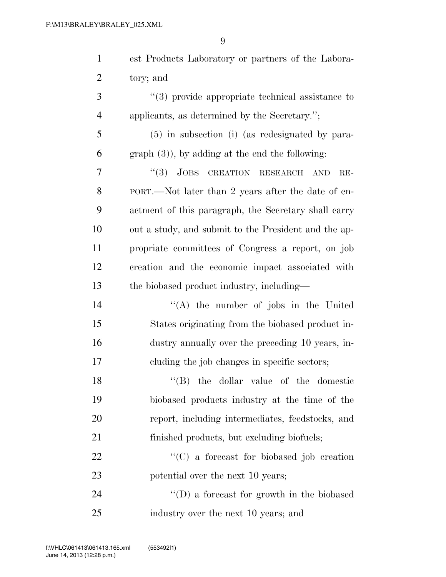| $\mathbf{1}$   | est Products Laboratory or partners of the Labora-   |
|----------------|------------------------------------------------------|
| $\overline{2}$ | tory; and                                            |
| 3              | $\lq(3)$ provide appropriate technical assistance to |
| $\overline{4}$ | applicants, as determined by the Secretary.";        |
| 5              | $(5)$ in subsection (i) (as redesignated by para-    |
| 6              | $graph(3)$ , by adding at the end the following:     |
| 7              | "(3) JOBS CREATION RESEARCH<br><b>AND</b><br>$RE-$   |
| 8              | PORT.—Not later than 2 years after the date of en-   |
| 9              | actment of this paragraph, the Secretary shall carry |
| 10             | out a study, and submit to the President and the ap- |
| 11             | propriate committees of Congress a report, on job    |
| 12             | creation and the economic impact associated with     |
| 13             | the biobased product industry, including—            |
| 14             | "(A) the number of jobs in the United                |
| 15             | States originating from the biobased product in-     |
| 16             | dustry annually over the preceding 10 years, in-     |
| 17             | cluding the job changes in specific sectors;         |
| 18             | "(B) the dollar value of the domestic                |
| 19             | biobased products industry at the time of the        |
| 20             | report, including intermediates, feedstocks, and     |
| 21             | finished products, but excluding biofuels;           |
| 22             | $\lq\lq$ (C) a forecast for biobased job creation    |
| 23             | potential over the next 10 years;                    |
| 24             | $\lq\lq$ (D) a forecast for growth in the biobased   |
| 25             | industry over the next 10 years; and                 |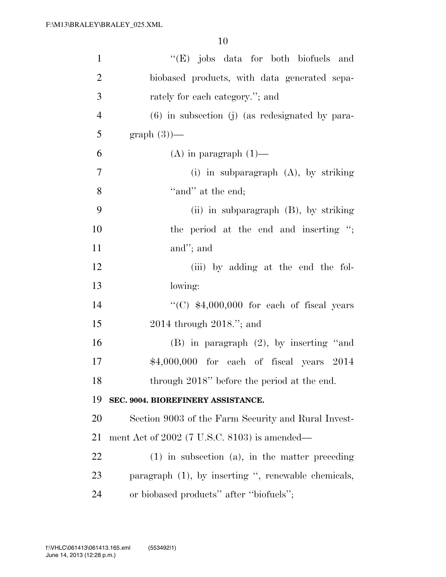| $\mathbf{1}$   | "(E) jobs data for both biofuels and                |
|----------------|-----------------------------------------------------|
| $\overline{2}$ | biobased products, with data generated sepa-        |
| 3              | rately for each category."; and                     |
| $\overline{4}$ | $(6)$ in subsection (j) (as redesignated by para-   |
| 5              | $graph(3)$ —                                        |
| 6              | $(A)$ in paragraph $(1)$ —                          |
| 7              | (i) in subparagraph $(A)$ , by striking             |
| 8              | "and" at the end;                                   |
| 9              | (ii) in subparagraph $(B)$ , by striking            |
| 10             | the period at the end and inserting ";              |
| 11             | and"; and                                           |
| 12             | (iii) by adding at the end the fol-                 |
| 13             | lowing:                                             |
| 14             | "(C) $$4,000,000$ for each of fiscal years          |
| 15             | $2014$ through $2018$ ."; and                       |
| 16             | $(B)$ in paragraph $(2)$ , by inserting "and        |
| 17             | \$4,000,000 for each of fiscal years 2014           |
| 18             | through 2018" before the period at the end.         |
| 19             | SEC. 9004. BIOREFINERY ASSISTANCE.                  |
| 20             | Section 9003 of the Farm Security and Rural Invest- |
| 21             | ment Act of $2002$ (7 U.S.C. 8103) is amended—      |
| 22             | $(1)$ in subsection $(a)$ , in the matter preceding |
| 23             | paragraph (1), by inserting ", renewable chemicals, |
| 24             | or biobased products" after "biofuels";             |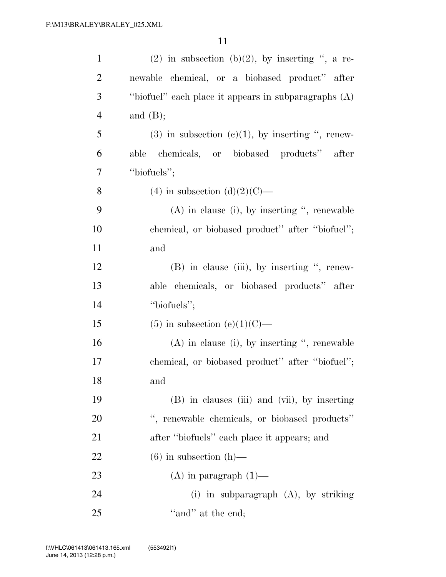| $\mathbf{1}$   | $(2)$ in subsection $(b)(2)$ , by inserting ", a re-   |
|----------------|--------------------------------------------------------|
| $\overline{2}$ | newable chemical, or a biobased product" after         |
| 3              | "biofuel" each place it appears in subparagraphs $(A)$ |
| $\overline{4}$ | and $(B);$                                             |
| 5              | $(3)$ in subsection $(e)(1)$ , by inserting ", renew-  |
| 6              | chemicals, or biobased products" after<br>able         |
| 7              | "biofuels";                                            |
| 8              | (4) in subsection (d)(2)(C)—                           |
| 9              | $(A)$ in clause (i), by inserting ", renewable         |
| 10             | chemical, or biobased product" after "biofuel";        |
| 11             | and                                                    |
| 12             | $(B)$ in clause (iii), by inserting ", renew-          |
| 13             | able chemicals, or biobased products" after            |
| 14             | "biofuels";                                            |
| 15             | $(5)$ in subsection $(e)(1)(C)$ —                      |
| 16             | $(A)$ in clause (i), by inserting ", renewable         |
| 17             | chemical, or biobased product" after "biofuel";        |
| 18             | and                                                    |
| 19             | (B) in clauses (iii) and (vii), by inserting           |
| 20             | ", renewable chemicals, or biobased products"          |
| 21             | after "biofuels" each place it appears; and            |
| 22             | $(6)$ in subsection $(h)$ —                            |
| 23             | $(A)$ in paragraph $(1)$ —                             |
| 24             | (i) in subparagraph $(A)$ , by striking                |
| 25             | "and" at the end;                                      |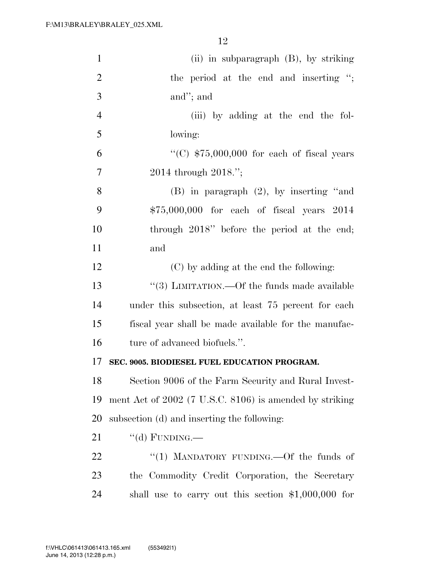| $\mathbf{1}$   | $(ii)$ in subparagraph $(B)$ , by striking              |
|----------------|---------------------------------------------------------|
| $\overline{2}$ | the period at the end and inserting ";                  |
| 3              | and"; and                                               |
| $\overline{4}$ | (iii) by adding at the end the fol-                     |
| 5              | lowing:                                                 |
| 6              | "(C) $$75,000,000$ for each of fiscal years             |
| $\overline{7}$ | 2014 through 2018.";                                    |
| 8              | $(B)$ in paragraph $(2)$ , by inserting "and            |
| 9              | $$75,000,000$ for each of fiscal years $2014$           |
| 10             | through 2018" before the period at the end;             |
| 11             | and                                                     |
| 12             | (C) by adding at the end the following:                 |
| 13             | "(3) LIMITATION.—Of the funds made available            |
| 14             | under this subsection, at least 75 percent for each     |
| 15             | fiscal year shall be made available for the manufac-    |
| 16             | ture of advanced biofuels.".                            |
| 17             | SEC. 9005. BIODIESEL FUEL EDUCATION PROGRAM.            |
| 18             | Section 9006 of the Farm Security and Rural Invest-     |
| 19             | ment Act of 2002 (7 U.S.C. 8106) is amended by striking |
| 20             | subsection (d) and inserting the following:             |
| 21             | "(d) FUNDING.—                                          |
| 22             | "(1) MANDATORY FUNDING.—Of the funds of                 |
| 23             | the Commodity Credit Corporation, the Secretary         |
| 24             | shall use to carry out this section $$1,000,000$ for    |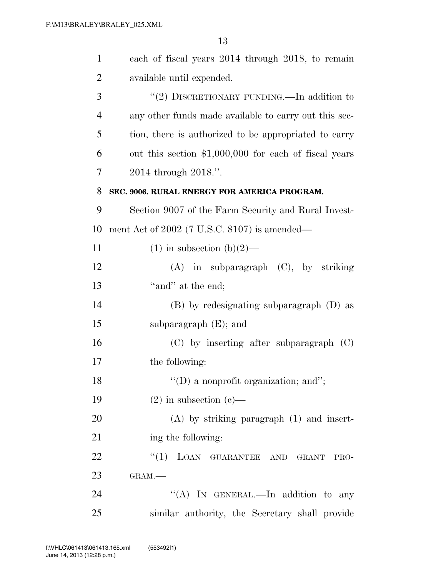| $\mathbf{1}$   | each of fiscal years 2014 through 2018, to remain     |
|----------------|-------------------------------------------------------|
| $\overline{2}$ | available until expended.                             |
| 3              | "(2) DISCRETIONARY FUNDING.—In addition to            |
| $\overline{4}$ | any other funds made available to carry out this sec- |
| 5              | tion, there is authorized to be appropriated to carry |
| 6              | out this section \$1,000,000 for each of fiscal years |
| 7              | 2014 through 2018.".                                  |
| 8              | SEC. 9006. RURAL ENERGY FOR AMERICA PROGRAM.          |
| 9              | Section 9007 of the Farm Security and Rural Invest-   |
| 10             | ment Act of $2002$ (7 U.S.C. 8107) is amended—        |
| 11             | $(1)$ in subsection $(b)(2)$ —                        |
| 12             | $(A)$ in subparagraph $(C)$ , by striking             |
| 13             | "and" at the end;                                     |
| 14             | (B) by redesignating subparagraph (D) as              |
| 15             | subparagraph $(E)$ ; and                              |
| 16             | $(C)$ by inserting after subparagraph $(C)$           |
| 17             | the following:                                        |
| 18             | $\lq\lq$ a nonprofit organization; and";              |
| 19             | $(2)$ in subsection $(e)$ —                           |
| 20             | $(A)$ by striking paragraph $(1)$ and insert-         |
| 21             | ing the following:                                    |
| 22             | ``(1)<br>LOAN GUARANTEE AND GRANT<br>PRO-             |
| 23             | GRAM.                                                 |
| 24             | "(A) IN GENERAL.—In addition to any                   |
| 25             | similar authority, the Secretary shall provide        |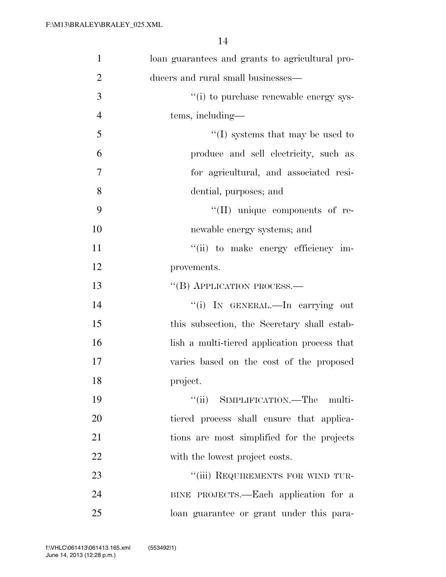| $\mathbf{1}$   | loan guarantees and grants to agricultural pro- |
|----------------|-------------------------------------------------|
| $\overline{2}$ | ducers and rural small businesses—              |
| 3              | "(i) to purchase renewable energy sys-          |
| $\overline{4}$ | tems, including-                                |
| 5              | $\lq\lq$ (I) systems that may be used to        |
| 6              | produce and sell electricity, such as           |
| 7              | for agricultural, and associated resi-          |
| 8              | dential, purposes; and                          |
| 9              | $\lq\lq$ (II) unique components of re-          |
| 10             | newable energy systems; and                     |
| 11             | "(ii) to make energy efficiency im-             |
| 12             | provements.                                     |
| 13             | "(B) APPLICATION PROCESS.—                      |
| 14             | "(i) IN GENERAL.—In carrying out                |
| 15             | this subsection, the Secretary shall estab-     |
| 16             | lish a multi-tiered application process that    |
| 17             | varies based on the cost of the proposed        |
| 18             | project.                                        |
| 19             | "(ii) SIMPLIFICATION.—The multi-                |
| 20             | tiered process shall ensure that applica-       |
| 21             | tions are most simplified for the projects      |
| 22             | with the lowest project costs.                  |
| 23             | "(iii) REQUIREMENTS FOR WIND TUR-               |
| 24             | BINE PROJECTS.—Each application for a           |
| 25             | loan guarantee or grant under this para-        |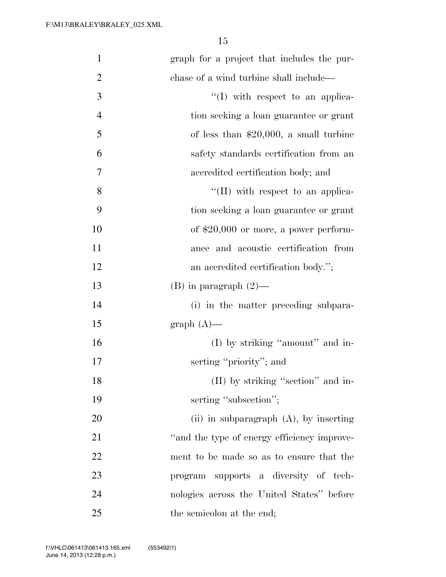| $\mathbf{1}$   | graph for a project that includes the pur-  |
|----------------|---------------------------------------------|
| $\overline{2}$ | chase of a wind turbine shall include—      |
| $\mathfrak{Z}$ | $\lq\lq$ with respect to an applica-        |
| $\overline{4}$ | tion seeking a loan guarantee or grant      |
| 5              | of less than $$20,000$ , a small turbine    |
| 6              | safety standards certification from an      |
| $\overline{7}$ | accredited certification body; and          |
| 8              | $\lq\lq$ (II) with respect to an applica-   |
| 9              | tion seeking a loan guarantee or grant      |
| 10             | of $$20,000$ or more, a power perform-      |
| 11             | ance and acoustic certification from        |
| 12             | an accredited certification body.";         |
| 13             | $(B)$ in paragraph $(2)$ —                  |
| 14             | (i) in the matter preceding subpara-        |
| 15             | $graph(A)$ —                                |
| 16             | (I) by striking "amount" and in-            |
| 17             | serting "priority"; and                     |
| 18             | (II) by striking "section" and in-          |
| 19             | serting "subsection";                       |
| 20             | (ii) in subparagraph $(A)$ , by inserting   |
| 21             | "and the type of energy efficiency improve- |
| 22             | ment to be made so as to ensure that the    |
| 23             | program supports a diversity of tech-       |
| 24             | nologies across the United States" before   |
| 25             | the semicolon at the end;                   |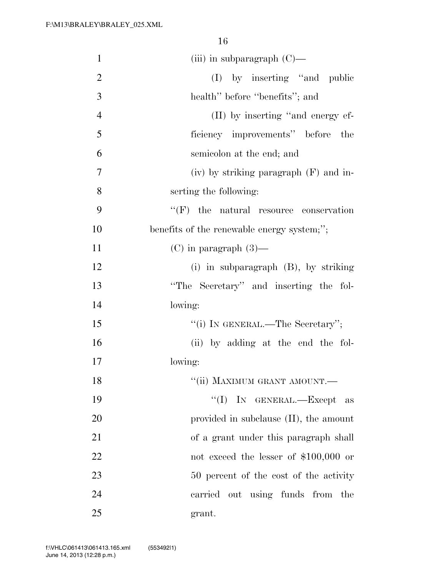| $\mathbf{1}$   | (iii) in subparagraph $(C)$ —              |
|----------------|--------------------------------------------|
| 2              | (I) by inserting "and public               |
| 3              | health" before "benefits"; and             |
| $\overline{4}$ | (II) by inserting "and energy ef-          |
| 5              | ficiency improvements" before<br>the       |
| 6              | semicolon at the end; and                  |
| 7              | $(iv)$ by striking paragraph $(F)$ and in- |
| 8              | serting the following:                     |
| 9              | $``(F)$ the natural resource conservation  |
| 10             | benefits of the renewable energy system;"; |
| 11             | $(C)$ in paragraph $(3)$ —                 |
| 12             | (i) in subparagraph $(B)$ , by striking    |
| 13             | "The Secretary" and inserting the fol-     |
| 14             | lowing:                                    |
| 15             | "(i) IN GENERAL.—The Secretary";           |
| 16             | (ii) by adding at the end the fol-         |
| 17             | lowing:                                    |
| 18             | "(ii) MAXIMUM GRANT AMOUNT.-               |
| 19             | "(I) IN GENERAL.—Except<br>as              |
| 20             | provided in subclause $(II)$ , the amount  |
| 21             | of a grant under this paragraph shall      |
| 22             | not exceed the lesser of $$100,000$ or     |
| 23             | 50 percent of the cost of the activity     |
| 24             | carried out using funds from the           |
| 25             | grant.                                     |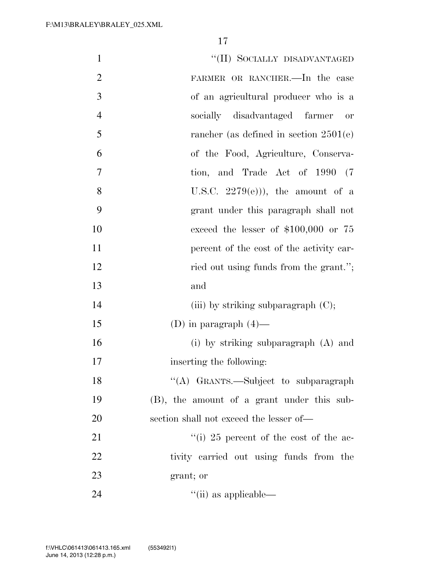| $\mathbf{1}$   | "(II) SOCIALLY DISADVANTAGED               |
|----------------|--------------------------------------------|
| $\overline{2}$ | FARMER OR RANCHER.-In the case             |
| 3              | of an agricultural producer who is a       |
| $\overline{4}$ | socially disadvantaged farmer<br>or        |
| 5              | rancher (as defined in section $2501(e)$ ) |
| 6              | of the Food, Agriculture, Conserva-        |
| $\overline{7}$ | tion, and Trade Act of 1990 (7             |
| 8              | U.S.C. $2279(e)$ ), the amount of a        |
| 9              | grant under this paragraph shall not       |
| 10             | exceed the lesser of $$100,000$ or 75      |
| 11             | percent of the cost of the activity car-   |
| 12             | ried out using funds from the grant.";     |
| 13             | and                                        |
| 14             | (iii) by striking subparagraph $(C)$ ;     |
| 15             | (D) in paragraph $(4)$ —                   |
| 16             | (i) by striking subparagraph $(A)$ and     |
| 17             | inserting the following:                   |
| 18             | "(A) GRANTS.—Subject to subparagraph       |
| 19             | (B), the amount of a grant under this sub- |
| 20             | section shall not exceed the lesser of—    |
| 21             | "(i) 25 percent of the cost of the ac-     |
| 22             | tivity carried out using funds from the    |
| 23             | grant; or                                  |
| 24             | $\lq$ <sup>"</sup> (ii) as applicable—     |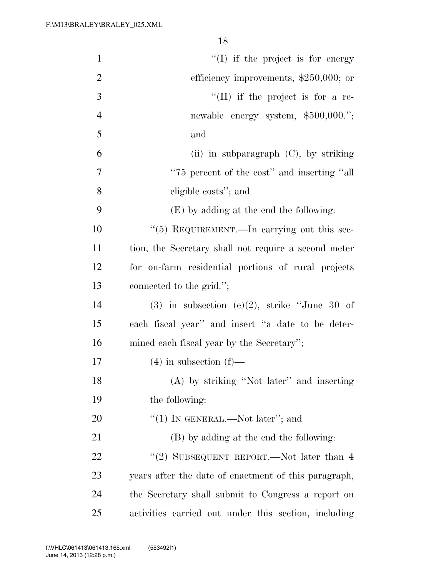| $\mathbf{1}$   | $\lq\lq$ if the project is for energy                |
|----------------|------------------------------------------------------|
| $\overline{2}$ | efficiency improvements, $$250,000$ ; or             |
| 3              | $\lq\lq$ (II) if the project is for a re-            |
| $\overline{4}$ | newable energy system, \$500,000.";                  |
| 5              | and                                                  |
| 6              | (ii) in subparagraph $(C)$ , by striking             |
| 7              | "75 percent of the cost" and inserting "all          |
| 8              | eligible costs"; and                                 |
| 9              | (E) by adding at the end the following:              |
| 10             | $\lq(5)$ REQUIREMENT.—In carrying out this sec-      |
| 11             | tion, the Secretary shall not require a second meter |
| 12             | for on-farm residential portions of rural projects   |
| 13             | connected to the grid.";                             |
| 14             | $(3)$ in subsection $(e)(2)$ , strike "June 30 of    |
| 15             | each fiscal year" and insert "a date to be deter-    |
| 16             | mined each fiscal year by the Secretary";            |
| 17             | $(4)$ in subsection $(f)$ —                          |
| 18             | (A) by striking "Not later" and inserting            |
| 19             | the following:                                       |
| 20             | "(1) IN GENERAL.—Not later"; and                     |
| 21             | (B) by adding at the end the following:              |
| 22             | "(2) SUBSEQUENT REPORT.—Not later than 4             |
| 23             | years after the date of enactment of this paragraph, |
| 24             | the Secretary shall submit to Congress a report on   |
| 25             | activities carried out under this section, including |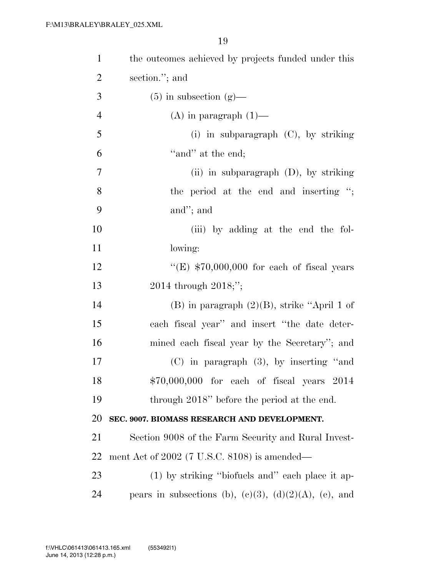| $\mathbf{1}$   | the outcomes achieved by projects funded under this            |
|----------------|----------------------------------------------------------------|
| $\overline{2}$ | section."; and                                                 |
| 3              | $(5)$ in subsection $(g)$ —                                    |
| $\overline{4}$ | $(A)$ in paragraph $(1)$ —                                     |
| 5              | (i) in subparagraph $(C)$ , by striking                        |
| 6              | "and" at the end;                                              |
| $\overline{7}$ | (ii) in subparagraph $(D)$ , by striking                       |
| 8              | the period at the end and inserting ";                         |
| 9              | and"; and                                                      |
| 10             | (iii) by adding at the end the fol-                            |
| 11             | lowing:                                                        |
| 12             | "(E) $$70,000,000$ for each of fiscal years                    |
| 13             | 2014 through $2018;$ ";                                        |
| 14             | $(B)$ in paragraph $(2)(B)$ , strike "April 1 of               |
| 15             | each fiscal year" and insert "the date deter-                  |
| 16             | mined each fiscal year by the Secretary"; and                  |
| 17             | $(C)$ in paragraph $(3)$ , by inserting "and                   |
| 18             | \$70,000,000 for each of fiscal years 2014                     |
| 19             | through 2018" before the period at the end.                    |
| 20             | SEC. 9007. BIOMASS RESEARCH AND DEVELOPMENT.                   |
| 21             | Section 9008 of the Farm Security and Rural Invest-            |
| 22             | ment Act of $2002$ (7 U.S.C. 8108) is amended—                 |
| 23             | (1) by striking "biofuels and" each place it ap-               |
| 24             | pears in subsections (b), $(e)(3)$ , $(d)(2)(A)$ , $(e)$ , and |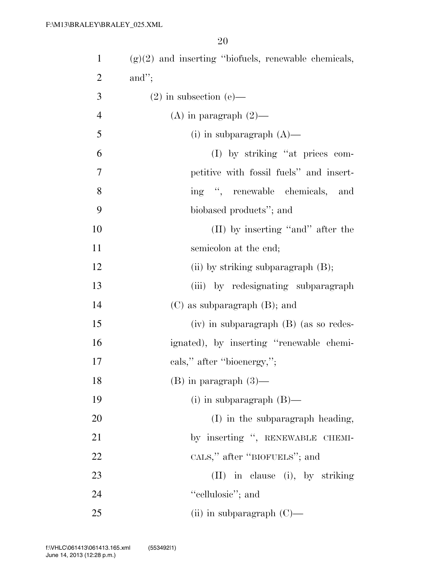| $\mathbf{1}$   | $(g)(2)$ and inserting "biofuels, renewable chemicals, |
|----------------|--------------------------------------------------------|
| $\overline{2}$ | and";                                                  |
| 3              | $(2)$ in subsection $(e)$ —                            |
| $\overline{4}$ | (A) in paragraph $(2)$ —                               |
| 5              | $(i)$ in subparagraph $(A)$ —                          |
| 6              | (I) by striking "at prices com-                        |
| $\tau$         | petitive with fossil fuels" and insert-                |
| $8\,$          | ing ", renewable chemicals, and                        |
| 9              | biobased products"; and                                |
| 10             | (II) by inserting "and" after the                      |
| 11             | semicolon at the end;                                  |
| 12             | (ii) by striking subparagraph $(B)$ ;                  |
| 13             | (iii) by redesignating subparagraph                    |
| 14             | $(C)$ as subparagraph $(B)$ ; and                      |
| 15             | $(iv)$ in subparagraph $(B)$ (as so redes-             |
| 16             | ignated), by inserting "renewable chemi-               |
| 17             | cals," after "bioenergy,";                             |
| 18             | $(B)$ in paragraph $(3)$ —                             |
| 19             | $(i)$ in subparagraph $(B)$ —                          |
| <b>20</b>      | (I) in the subparagraph heading,                       |
| 21             | by inserting ", RENEWABLE CHEMI-                       |
| 22             | CALS," after "BIOFUELS"; and                           |
| 23             | (II) in clause (i), by striking                        |
| 24             | "cellulosic"; and                                      |
| 25             | (ii) in subparagraph $(C)$ —                           |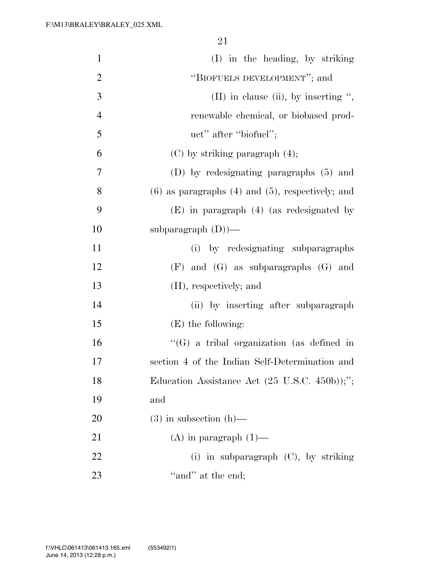| $\mathbf{1}$   | (I) in the heading, by striking                                  |
|----------------|------------------------------------------------------------------|
| $\mathbf{2}$   | "BIOFUELS DEVELOPMENT"; and                                      |
| 3              | $(II)$ in clause (ii), by inserting ",                           |
| $\overline{4}$ | renewable chemical, or biobased prod-                            |
| 5              | uct" after "biofuel";                                            |
| 6              | $(C)$ by striking paragraph $(4)$ ;                              |
| 7              | (D) by redesignating paragraphs (5) and                          |
| 8              | $(6)$ as paragraphs $(4)$ and $(5)$ , respectively; and          |
| 9              | $(E)$ in paragraph $(4)$ (as redesignated by                     |
| 10             | subparagraph $(D)$ )—                                            |
| 11             | (i) by redesignating subparagraphs                               |
| 12             | $(F)$ and $(G)$ as subparagraphs $(G)$ and                       |
| 13             | (H), respectively; and                                           |
| 14             | (ii) by inserting after subparagraph                             |
| 15             | $(E)$ the following:                                             |
| 16             | $\lq\lq(G)$ a tribal organization (as defined in                 |
| 17             | section 4 of the Indian Self-Determination and                   |
| 18             | Education Assistance Act $(25 \text{ U.S.C. } 450\text{b}))$ ;"; |
| 19             | and                                                              |
| 20             | $(3)$ in subsection $(h)$ —                                      |
| 21             | $(A)$ in paragraph $(1)$ —                                       |
| 22             | (i) in subparagraph $(C)$ , by striking                          |
| 23             | "and" at the end;                                                |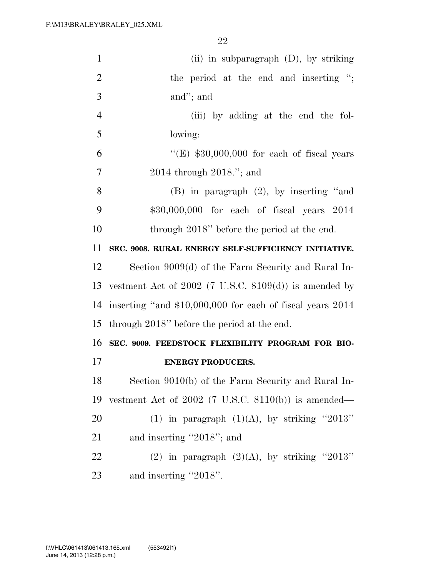| $\mathbf{1}$   | (ii) in subparagraph $(D)$ , by striking                   |
|----------------|------------------------------------------------------------|
| $\overline{2}$ | the period at the end and inserting ";                     |
| 3              | and"; and                                                  |
| $\overline{4}$ | (iii) by adding at the end the fol-                        |
| 5              | lowing:                                                    |
| 6              | " $(E)$ \$30,000,000 for each of fiscal years              |
| 7              | $2014$ through $2018$ ."; and                              |
| 8              | $(B)$ in paragraph $(2)$ , by inserting "and               |
| 9              | \$30,000,000 for each of fiscal years 2014                 |
| 10             | through 2018" before the period at the end.                |
| 11             | SEC. 9008. RURAL ENERGY SELF-SUFFICIENCY INITIATIVE.       |
| 12             | Section 9009(d) of the Farm Security and Rural In-         |
| 13             | vestment Act of $2002$ (7 U.S.C. $8109(d)$ ) is amended by |
| 14             | inserting "and \$10,000,000 for each of fiscal years 2014  |
| 15             | through 2018" before the period at the end.                |
| 16             | SEC. 9009. FEEDSTOCK FLEXIBILITY PROGRAM FOR BIO-          |
| 17             | <b>ENERGY PRODUCERS.</b>                                   |
| 18             | Section 9010(b) of the Farm Security and Rural In-         |
| 19             | vestment Act of $2002$ (7 U.S.C. 8110(b)) is amended—      |
| 20             | (1) in paragraph $(1)(A)$ , by striking "2013"             |
| 21             | and inserting "2018"; and                                  |
| 22             | (2) in paragraph $(2)(A)$ , by striking "2013"             |
| 23             | and inserting "2018".                                      |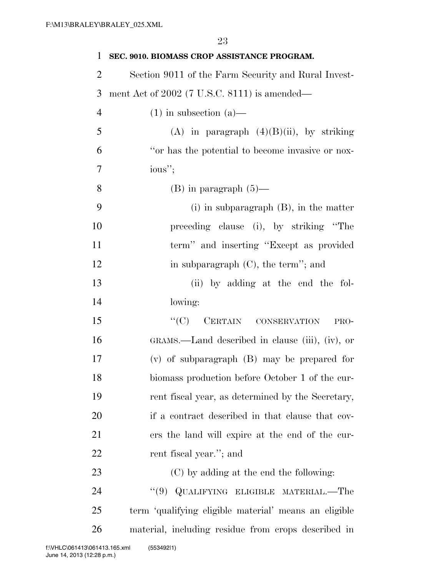| 1              | SEC. 9010. BIOMASS CROP ASSISTANCE PROGRAM.           |
|----------------|-------------------------------------------------------|
| 2              | Section 9011 of the Farm Security and Rural Invest-   |
| 3              | ment Act of 2002 (7 U.S.C. 8111) is amended—          |
| $\overline{4}$ | $(1)$ in subsection $(a)$ —                           |
| 5              | (A) in paragraph $(4)(B)(ii)$ , by striking           |
| 6              | "or has the potential to become invasive or nox-      |
| 7              | ious";                                                |
| 8              | $(B)$ in paragraph $(5)$ —                            |
| 9              | $(i)$ in subparagraph $(B)$ , in the matter           |
| 10             | preceding clause (i), by striking "The                |
| 11             | term" and inserting "Except as provided               |
| 12             | in subparagraph $(C)$ , the term''; and               |
| 13             | (ii) by adding at the end the fol-                    |
| 14             | lowing:                                               |
| 15             | ``(C)<br>CERTAIN CONSERVATION<br>PRO-                 |
| 16             | GRAMS.—Land described in clause (iii), (iv), or       |
| 17             | $(v)$ of subparagraph $(B)$ may be prepared for       |
| 18             | biomass production before October 1 of the cur-       |
| 19             | rent fiscal year, as determined by the Secretary,     |
| 20             | if a contract described in that clause that cov-      |
| 21             | ers the land will expire at the end of the cur-       |
| 22             | rent fiscal year."; and                               |
| 23             | (C) by adding at the end the following:               |
| 24             | QUALIFYING ELIGIBLE MATERIAL.—The<br>(9)              |
| 25             | term 'qualifying eligible material' means an eligible |
| 26             | material, including residue from crops described in   |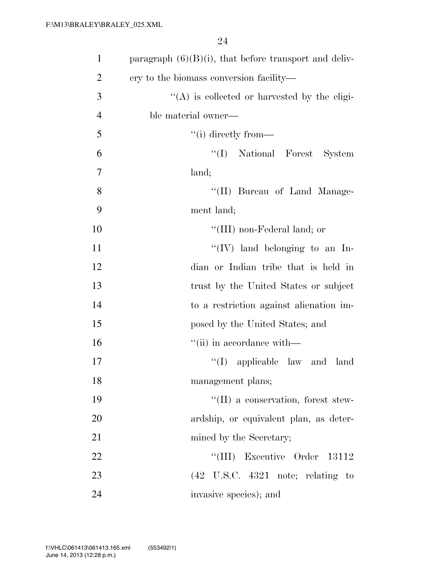| $\mathbf{1}$   | paragraph $(6)(B)(i)$ , that before transport and deliv- |
|----------------|----------------------------------------------------------|
| $\overline{2}$ | ery to the biomass conversion facility—                  |
| 3              | $\lq\lq$ is collected or harvested by the eligi-         |
| $\overline{4}$ | ble material owner—                                      |
| 5              | $``(i)$ directly from—                                   |
| 6              | "(I) National Forest System                              |
| $\overline{7}$ | land;                                                    |
| 8              | "(II) Bureau of Land Manage-                             |
| 9              | ment land;                                               |
| 10             | "(III) non-Federal land; or                              |
| 11             | "(IV) land belonging to an In-                           |
| 12             | dian or Indian tribe that is held in                     |
| 13             | trust by the United States or subject                    |
| 14             | to a restriction against alienation im-                  |
| 15             | posed by the United States; and                          |
| 16             | "(ii) in accordance with—                                |
| 17             | $\lq\lq$ (I) applicable law and land                     |
| 18             | management plans;                                        |
| 19             | "(II) a conservation, forest stew-                       |
| 20             | ardship, or equivalent plan, as deter-                   |
| 21             | mined by the Secretary;                                  |
| 22             | "(III) Executive Order<br>13112                          |
| 23             | $(42 \tU.S.C. 4321 \tnot)$ ; relating to                 |
| 24             | invasive species); and                                   |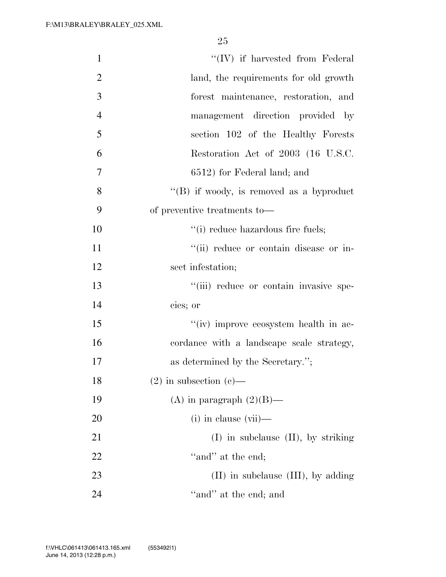| $\mathbf{1}$   | $\lq\lq (IV)$ if harvested from Federal   |
|----------------|-------------------------------------------|
| $\overline{2}$ | land, the requirements for old growth     |
| 3              | forest maintenance, restoration, and      |
| 4              | management direction provided by          |
| 5              | section 102 of the Healthy Forests        |
| 6              | Restoration Act of 2003 (16 U.S.C.        |
| $\overline{7}$ | 6512) for Federal land; and               |
| 8              | "(B) if woody, is removed as a byproduct  |
| 9              | of preventive treatments to—              |
| 10             | "(i) reduce hazardous fire fuels;         |
| 11             | "(ii) reduce or contain disease or in-    |
| 12             | sect infestation;                         |
| 13             | "(iii) reduce or contain invasive spe-    |
| 14             | cies; or                                  |
| 15             | "(iv) improve ecosystem health in ac-     |
| 16             | cordance with a landscape scale strategy, |
| 17             | as determined by the Secretary.";         |
| 18             | $(2)$ in subsection $(e)$ —               |
| 19             | (A) in paragraph $(2)(B)$ —               |
| 20             | $(i)$ in clause $(vii)$ —                 |
| 21             | $(I)$ in subclause $(II)$ , by striking   |
| 22             | "and" at the end;                         |
| 23             | $(II)$ in subclause $(III)$ , by adding   |
| 24             | "and" at the end; and                     |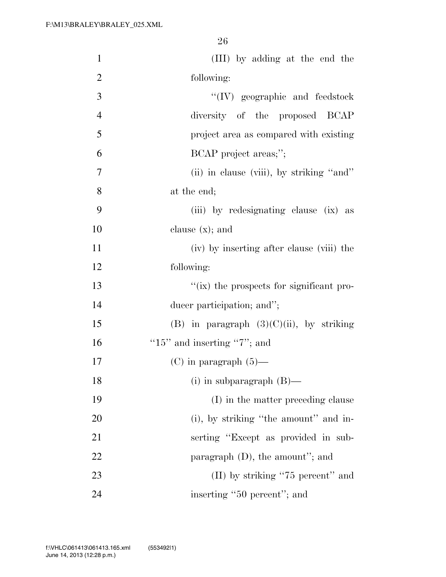| $\mathbf{1}$   | (III) by adding at the end the              |
|----------------|---------------------------------------------|
| $\overline{2}$ | following:                                  |
| 3              | "(IV) geographic and feedstock              |
| $\overline{4}$ | diversity of the proposed BCAP              |
| 5              | project area as compared with existing      |
| 6              | BCAP project areas;";                       |
| 7              | (ii) in clause (viii), by striking "and"    |
| 8              | at the end;                                 |
| 9              | (iii) by redesignating clause (ix) as       |
| 10             | clause $(x)$ ; and                          |
| 11             | (iv) by inserting after clause (viii) the   |
| 12             | following:                                  |
| 13             | "(ix) the prospects for significant pro-    |
| 14             | ducer participation; and";                  |
| 15             | (B) in paragraph $(3)(C)(ii)$ , by striking |
| 16             | "15" and inserting "7"; and                 |
| 17             | $(C)$ in paragraph $(5)$ —                  |
| 18             | (i) in subparagraph $(B)$ —                 |
| 19             | (I) in the matter preceding clause          |
| 20             | (i), by striking "the amount" and in-       |
| 21             | serting "Except as provided in sub-         |
| 22             | paragraph $(D)$ , the amount"; and          |
| 23             | $(II)$ by striking "75 percent" and         |
| 24             | inserting "50 percent"; and                 |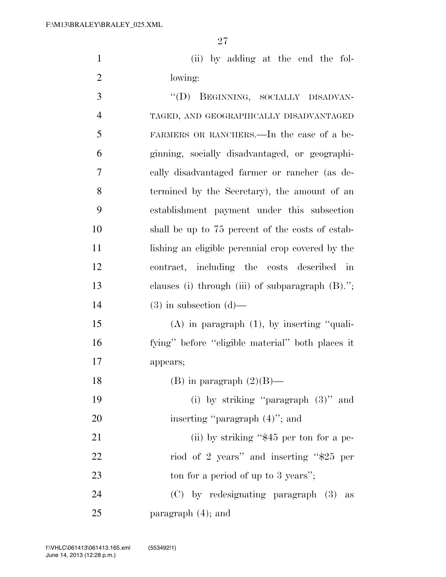(ii) by adding at the end the fol-lowing:

3 "(D) BEGINNING, SOCIALLY DISADVAN- TAGED, AND GEOGRAPHICALLY DISADVANTAGED FARMERS OR RANCHERS.—In the case of a be- ginning, socially disadvantaged, or geographi- cally disadvantaged farmer or rancher (as de- termined by the Secretary), the amount of an establishment payment under this subsection shall be up to 75 percent of the costs of estab- lishing an eligible perennial crop covered by the contract, including the costs described in clauses (i) through (iii) of subparagraph (B).''; 14 (3) in subsection  $(d)$ — (A) in paragraph (1), by inserting ''quali- fying'' before ''eligible material'' both places it appears; 18 (B) in paragraph  $(2)(B)$ — (i) by striking ''paragraph (3)'' and 20 inserting "paragraph  $(4)$ "; and 21 (ii) by striking "\$45 per ton for a pe-22 riod of 2 years'' and inserting "\$25 per 23 ton for a period of up to 3 years'';

 (C) by redesignating paragraph (3) as paragraph (4); and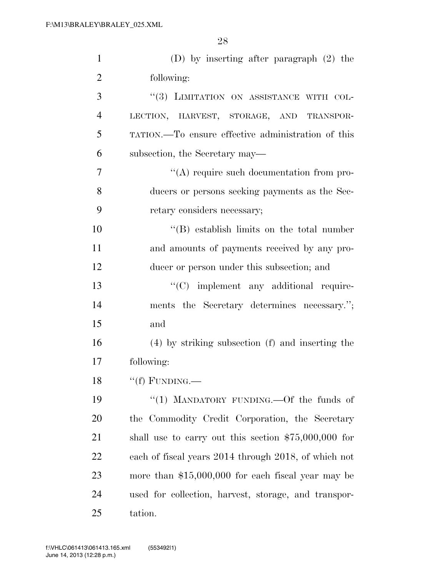| $\mathbf{1}$   | (D) by inserting after paragraph $(2)$ the            |
|----------------|-------------------------------------------------------|
| $\overline{2}$ | following:                                            |
| 3              | "(3) LIMITATION ON ASSISTANCE WITH COL-               |
| $\overline{4}$ | LECTION, HARVEST, STORAGE, AND TRANSPOR-              |
| 5              | TATION.—To ensure effective administration of this    |
| 6              | subsection, the Secretary may—                        |
| 7              | "(A) require such documentation from pro-             |
| 8              | ducers or persons seeking payments as the Sec-        |
| 9              | retary considers necessary;                           |
| 10             | $\lq\lq$ establish limits on the total number         |
| 11             | and amounts of payments received by any pro-          |
| 12             | ducer or person under this subsection; and            |
| 13             | "(C) implement any additional require-                |
| 14             | ments the Secretary determines necessary.";           |
| 15             | and                                                   |
| 16             | (4) by striking subsection (f) and inserting the      |
| 17             | following:                                            |
| 18             | "(f) FUNDING.—                                        |
| 19             | "(1) MANDATORY FUNDING.—Of the funds of               |
| 20             | the Commodity Credit Corporation, the Secretary       |
| 21             | shall use to carry out this section $$75,000,000$ for |
| 22             | each of fiscal years 2014 through 2018, of which not  |
| 23             | more than $$15,000,000$ for each fiscal year may be   |
| 24             | used for collection, harvest, storage, and transpor-  |
| 25             | tation.                                               |